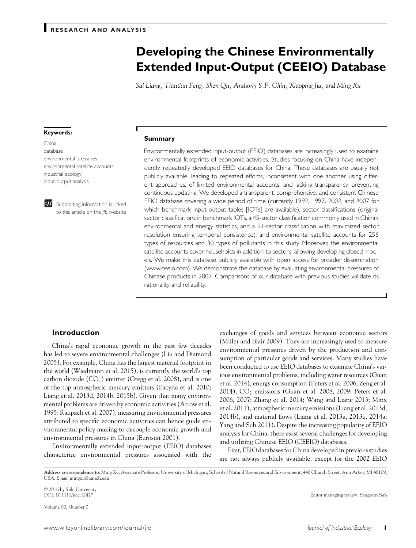# **Developing the Chinese Environmentally Extended Input-Output (CEEIO) Database**

*Sai Liang, Tiantian Feng, Shen Qu, Anthony S.F. Chiu, Xiaoping Jia, and Ming Xu*

#### **Keywords:**

# China database environmental pressures environmental satellite accounts industrial ecology input-output analysis



**BI** Supporting information is linked to this ar ticle on the *JIE* website

#### **Summary**

Environmentally extended input-output (EEIO) databases are increasingly used to examine environmental footprints of economic activities. Studies focusing on China have independently, repeatedly developed EEIO databases for China. These databases are usually not publicly available, leading to repeated efforts, inconsistent with one another using different approaches, of limited environmental accounts, and lacking transparency, preventing continuous updating. We developed a transparent, comprehensive, and consistent Chinese EEIO database covering a wide period of time (currently 1992, 1997, 2002, and 2007 for which benchmark input-output tables [IOTs] are available), sector classifications (original sector classifications in benchmark IOTs, a 45-sector classification commonly used in China's environmental and energy statistics, and a 91-sector classification with maximized sector resolution ensuring temporal consistence), and environmental satellite accounts for 256 types of resources and 30 types of pollutants in this study. Moreover, the environmental satellite accounts cover households in addition to sectors, allowing developing closed models. We make this database publicly available with open access for broader dissemination (www.ceeio.com). We demonstrate the database by evaluating environmental pressures of Chinese products in 2007. Comparisons of our database with previous studies validate its rationality and reliability.

# **Introduction**

China's rapid economic growth in the past few decades has led to severe environmental challenges (Liu and Diamond 2005). For example, China has the largest material footprint in the world (Wiedmann et al. 2015), is currently the world's top carbon dioxide  $(CO_2)$  emitter (Gregg et al. 2008), and is one of the top atmospheric mercury emitters (Pacyna et al. 2010; Liang et al. 2013d, 2014b, 2015b). Given that many environmental problems are driven by economic activities (Arrow et al. 1995; Raupach et al. 2007), measuring environmental pressures attributed to specific economic activities can hence guide environmental policy making to decouple economic growth and environmental pressures in China (Eurostat 2001).

Environmentally extended input-output (EEIO) databases characterize environmental pressures associated with the exchanges of goods and services between economic sectors (Miller and Blair 2009). They are increasingly used to measure environmental pressures driven by the production and consumption of particular goods and services. Many studies have been conducted to use EEIO databases to examine China's various environmental problems, including water resources (Guan et al. 2014), energy consumption (Peters et al. 2006; Zeng et al.  $2014$ ),  $CO<sub>2</sub>$  emissions (Guan et al. 2008, 2009; Peters et al. 2006, 2007; Zhang et al. 2014; Wang and Liang 2013; Minx et al. 2011), atmospheric mercury emissions (Liang et al. 2013d, 2014b), and material flows (Liang et al. 2013a, 2013c, 2014a; Yang and Suh 2011). Despite the increasing popularity of EEIO analysis for China, there exist several challenges for developing and utilizing Chinese EEIO (CEEIO) databases.

First, EEIO databases for China developed in previous studies are not always publicly available, except for the 2002 EEIO

© 2016 by Yale University

Volume 00, Number 0

Editor managing review: Sangwon Suh

**Address correspondence to**: Ming Xu, Associate Professor, University of Michigan, School of Natural Resources and Environment, 440 Church Street, Ann Arbor, MI 48109, USA. *Email*: mingxu@umich.edu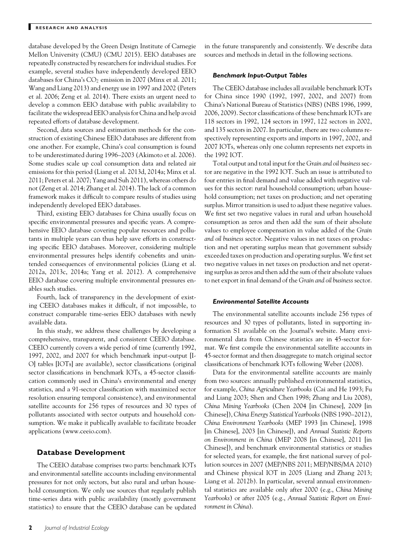database developed by the Green Design Institute of Carnegie Mellon University (CMU) (CMU 2015). EEIO databases are repeatedly constructed by researchers for individual studies. For example, several studies have independently developed EEIO databases for China's  $CO_2$  emission in 2007 (Minx et al. 2011; Wang and Liang 2013) and energy use in 1997 and 2002 (Peters et al. 2006; Zeng et al. 2014). There exists an urgent need to develop a common EEIO database with public availability to facilitate the widespread EEIO analysis for China and help avoid repeated efforts of database development.

Second, data sources and estimation methods for the construction of existing Chinese EEIO databases are different from one another. For example, China's coal consumption is found to be underestimated during 1996–2003 (Akimoto et al. 2006). Some studies scale up coal consumption data and related air emissions for this period (Liang et al. 2013d, 2014a; Minx et al. 2011; Peters et al. 2007; Yang and Suh 2011), whereas others do not (Zeng et al. 2014; Zhang et al. 2014). The lack of a common framework makes it difficult to compare results of studies using independently developed EEIO databases.

Third, existing EEIO databases for China usually focus on specific environmental pressures and specific years. A comprehensive EEIO database covering popular resources and pollutants in multiple years can thus help save efforts in constructing specific EEIO databases. Moreover, considering multiple environmental pressures helps identify cobenefits and unintended consequences of environmental policies (Liang et al. 2012a, 2013c, 2014a; Yang et al. 2012). A comprehensive EEIO database covering multiple environmental pressures enables such studies.

Fourth, lack of transparency in the development of existing CEEIO databases makes it difficult, if not impossible, to construct comparable time-series EEIO databases with newly available data.

In this study, we address these challenges by developing a comprehensive, transparent, and consistent CEEIO database. CEEIO currently covers a wide period of time (currently 1992, 1997, 2002, and 2007 for which benchmark input-output [I-O] tables [IOTs] are available), sector classifications (original sector classifications in benchmark IOTs, a 45-sector classification commonly used in China's environmental and energy statistics, and a 91-sector classification with maximized sector resolution ensuring temporal consistence), and environmental satellite accounts for 256 types of resources and 30 types of pollutants associated with sector outputs and household consumption. We make it publically available to facilitate broader applications (www.ceeio.com).

# **Database Development**

The CEEIO database comprises two parts: benchmark IOTs and environmental satellite accounts including environmental pressures for not only sectors, but also rural and urban household consumption. We only use sources that regularly publish time-series data with public availability (mostly government statistics) to ensure that the CEEIO database can be updated in the future transparently and consistently. We describe data sources and methods in detail in the following sections.

### *Benchmark Input-Output Tables*

The CEEIO database includes all available benchmark IOTs for China since 1990 (1992, 1997, 2002, and 2007) from China's National Bureau of Statistics (NBS) (NBS 1996, 1999, 2006, 2009). Sector classifications of these benchmark IOTs are 118 sectors in 1992, 124 sectors in 1997, 122 sectors in 2002, and 135 sectors in 2007. In particular, there are two columns respectively representing exports and imports in 1997, 2002, and 2007 IOTs, whereas only one column represents net exports in the 1992 IOT.

Total output and total input for the *Grain and oil business* sector are negative in the 1992 IOT. Such an issue is attributed to four entries in final demand and value added with negative values for this sector: rural household consumption; urban household consumption; net taxes on production; and net operating surplus. Mirror transition is used to adjust these negative values. We first set two negative values in rural and urban household consumption as zeros and then add the sum of their absolute values to employee compensation in value added of the *Grain and oil business* sector. Negative values in net taxes on production and net operating surplus mean that government subsidy exceeded taxes on production and operating surplus. We first set two negative values in net taxes on production and net operating surplus as zeros and then add the sum of their absolute values to net export in final demand of the *Grain and oil business* sector.

## *Environmental Satellite Accounts*

The environmental satellite accounts include 256 types of resources and 30 types of pollutants, listed in supporting information S1 available on the Journal's website. Many environmental data from Chinese statistics are in 45-sector format. We first compile the environmental satellite accounts in 45-sector format and then disaggregate to match original sector classifications of benchmark IOTs following Weber (2008).

Data for the environmental satellite accounts are mainly from two sources: annually published environmental statistics, for example, *China Agriculture Yearbooks* (Cai and He 1993; Fu and Liang 2003; Shen and Chen 1998; Zhang and Liu 2008), *China Mining Yearbooks* (Chen 2004 [in Chinese], 2009 [in Chinese]), *China Energy Statistical Yearbooks*(NBS 1990–2012), *China Environment Yearbooks* (MEP 1993 [in Chinese], 1998 [in Chinese], 2003 [in Chinese]), and *Annual Statistic Reports on Environment in China* (MEP 2008 [in Chinese], 2011 [in Chinese]), and benchmark environmental statistics or studies for selected years, for example, the first national survey of pollution sources in 2007 (MEP/NBS 2011; MEP/NBS/MA 2010) and Chinese physical IOT in 2005 (Liang and Zhang 2013; Liang et al. 2012b). In particular, several annual environmental statistics are available only after 2000 (e.g., *China Mining Yearbooks*) or after 2005 (e.g., *Annual Statistic Report on Environment in China*).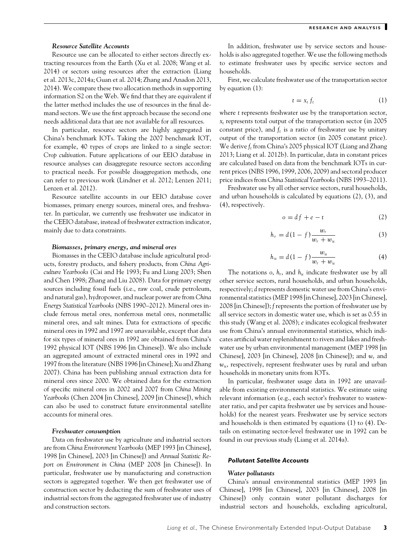# *Resource Satellite Accounts*

Resource use can be allocated to either sectors directly extracting resources from the Earth (Xu et al. 2008; Wang et al. 2014) or sectors using resources after the extraction (Liang et al. 2013c, 2014a; Guan et al. 2014; Zhang and Anadon 2013, 2014). We compare these two allocation methods in supporting information S2 on the Web. We find that they are equivalent if the latter method includes the use of resources in the final demand sectors. We use the first approach because the second one needs additional data that are not available for all resources.

In particular, resource sectors are highly aggregated in China's benchmark IOTs. Taking the 2007 benchmark IOT, for example, 40 types of crops are linked to a single sector: *Crop cultivation*. Future applications of our EEIO database in resource analyses can disaggregate resource sectors according to practical needs. For possible disaggregation methods, one can refer to previous work (Lindner et al. 2012; Lenzen 2011; Lenzen et al. 2012).

Resource satellite accounts in our EEIO database cover biomasses, primary energy sources, mineral ores, and freshwater. In particular, we currently use freshwater use indicator in the CEEIO database, instead of freshwater extraction indicator, mainly due to data constraints.

#### *Biomasses, primary energy, and mineral ores*

Biomasses in the CEEIO database include agricultural products, forestry products, and fishery products, from *China Agriculture Yearbooks* (Cai and He 1993; Fu and Liang 2003; Shen and Chen 1998; Zhang and Liu 2008). Data for primary energy sources including fossil fuels (i.e., raw coal, crude petroleum, and natural gas), hydropower, and nuclear power are from *China Energy Statistical Yearbooks* (NBS 1990–2012). Mineral ores include ferrous metal ores, nonferrous metal ores, nonmetallic mineral ores, and salt mines. Data for extractions of specific mineral ores in 1992 and 1997 are unavailable, except that data for six types of mineral ores in 1992 are obtained from China's 1992 physical IOT (NBS 1996 [in Chinese]). We also include an aggregated amount of extracted mineral ores in 1992 and 1997 from the literature (NBS 1996 [in Chinese]; Xu and Zhang 2007). China has been publishing annual extraction data for mineral ores since 2000. We obtained data for the extraction of specific mineral ores in 2002 and 2007 from *China Mining Yearbooks* (Chen 2004 [in Chinese], 2009 [in Chinese]), which can also be used to construct future environmental satellite accounts for mineral ores.

# *Freshwater consumption*

Data on freshwater use by agriculture and industrial sectors are from *China Environment Yearbooks* (MEP 1993 [in Chinese], 1998 [in Chinese], 2003 [in Chinese]) and *Annual Statistic Report on Environment in China* (MEP 2008 [in Chinese]). In particular, freshwater use by manufacturing and construction sectors is aggregated together. We then get freshwater use of construction sector by deducting the sum of freshwater uses of industrial sectors from the aggregated freshwater use of industry and construction sectors.

In addition, freshwater use by service sectors and households is also aggregated together. We use the following methods to estimate freshwater uses by specific service sectors and households.

First, we calculate freshwater use of the transportation sector by equation (1):

$$
t = x_t f_t \tag{1}
$$

where *t* represents freshwater use by the transportation sector, *xt* represents total output of the transportation sector (in 2005 constant price), and  $f_t$  is a ratio of freshwater use by unitary output of the transportation sector (in 2005 constant price). We derive *ft* from China's 2005 physical IOT (Liang and Zhang 2013; Liang et al. 2012b). In particular, data in constant prices are calculated based on data from the benchmark IOTs in current prices (NBS 1996, 1999, 2006, 2009) and sectoral producer price indices from *China Statistical Yearbooks*(NBS 1993–2011).

Freshwater use by all other service sectors, rural households, and urban households is calculated by equations (2), (3), and (4), respectively.

$$
o = df + e - t \tag{2}
$$

$$
h_{r} = d(1-f)\frac{w_{r}}{w_{r} + w_{u}}
$$
 (3)

$$
h_u = d(1 - f)\frac{w_u}{w_r + w_u}
$$
 (4)

The notations  $o$ ,  $h_r$ , and  $h_u$  indicate freshwater use by all other service sectors, rural households, and urban households, respectively; *d* represents domestic water use from China's environmental statistics (MEP 1998 [in Chinese], 2003 [in Chinese], 2008 [in Chinese]); *f* represents the portion of freshwater use by all service sectors in domestic water use, which is set as 0.55 in this study (Wang et al. 2008); *e* indicates ecological freshwater use from China's annual environmental statistics, which indicates artificial water replenishment to rivers and lakes and freshwater use by urban environmental management (MEP 1998 [in Chinese], 2003 [in Chinese], 2008 [in Chinese]); and *wr* and *wu*, respectively, represent freshwater uses by rural and urban households in monetary units from IOTs.

In particular, freshwater usage data in 1992 are unavailable from existing environmental statistics. We estimate using relevant information (e.g., each sector's freshwater to wastewater ratio, and per capita freshwater use by services and households) for the nearest years. Freshwater use by service sectors and households is then estimated by equations (1) to (4). Details on estimating sector-level freshwater use in 1992 can be found in our previous study (Liang et al. 2014a).

# *Pollutant Satellite Accounts*

# *Water pollutants*

China's annual environmental statistics (MEP 1993 [in Chinese], 1998 [in Chinese], 2003 [in Chinese], 2008 [in Chinese]) only contain water pollutant discharges for industrial sectors and households, excluding agricultural,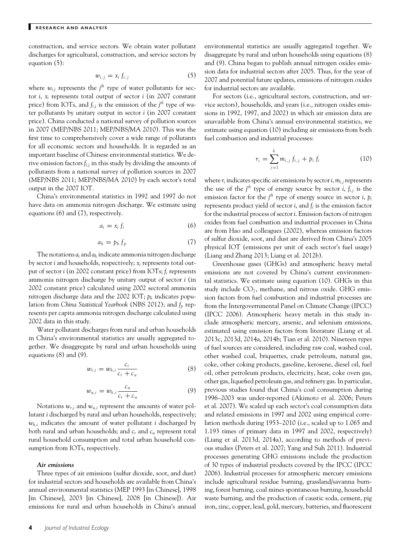construction, and service sectors. We obtain water pollutant discharges for agricultural, construction, and service sectors by equation (5):

$$
w_{i,j} = x_i f_{i,j} \tag{5}
$$

where  $w_{i,j}$  represents the  $j^{th}$  type of water pollutants for sector *i*,  $x_i$  represents total output of sector *i* (in 2007 constant price) from IOTs, and  $f_{i,j}$  is the emission of the  $j^{th}$  type of water pollutants by unitary output in sector *i* (in 2007 constant price). China conducted a national survey of pollution sources in 2007 (MEP/NBS 2011; MEP/NBS/MA 2010). This was the first time to comprehensively cover a wide range of pollutants for all economic sectors and households. It is regarded as an important baseline of Chinese environmental statistics. We derive emission factors *fi,j* in this study by dividing the amounts of pollutants from a national survey of pollution sources in 2007 (MEP/NBS 2011; MEP/NBS/MA 2010) by each sector's total output in the 2007 IOT.

China's environmental statistics in 1992 and 1997 do not have data on ammonia nitrogen discharge. We estimate using equations (6) and (7), respectively.

$$
a_i = x_i f_i \tag{6}
$$

$$
a_h = p_h f_p \tag{7}
$$

The notations  $a_i$  and  $a_h$  indicate ammonia nitrogen discharge by sector *i* and households, respectively; *xi* represents total output of sector *i* (in 2002 constant price) from IOTs; *fi* represents ammonia nitrogen discharge by unitary output of sector *i* (in 2002 constant price) calculated using 2002 sectoral ammonia nitrogen discharge data and the 2002 IOT; *ph* indicates population from *China Statistical Yearbook* (NBS 2012); and *fp* represents per capita ammonia nitrogen discharge calculated using 2002 data in this study.

Water pollutant discharges from rural and urban households in China's environmental statistics are usually aggregated together. We disaggregate by rural and urban households using equations (8) and (9).

$$
w_{r,i} = w_{h,i} \frac{c_r}{c_r + c_u} \tag{8}
$$

$$
w_{u,i} = w_{h,i} \frac{c_u}{c_r + c_u} \tag{9}
$$

Notations  $w_{r,i}$  and  $w_{u,i}$  represent the amounts of water pollutant *i* discharged by rural and urban households, respectively;  $w_{h,i}$  indicates the amount of water pollutant *i* discharged by both rural and urban households; and *cr* and *cu* represent total rural household consumption and total urban household consumption from IOTs, respectively.

#### *Air emissions*

Three types of air emissions (sulfur dioxide, soot, and dust) for industrial sectors and households are available from China's annual environmental statistics (MEP 1993 [in Chinese], 1998 [in Chinese], 2003 [in Chinese], 2008 [in Chinese]). Air emissions for rural and urban households in China's annual

**4** *Journal of Industrial Ecology*

environmental statistics are usually aggregated together. We disaggregate by rural and urban households using equations (8) and (9). China began to publish annual nitrogen oxides emission data for industrial sectors after 2005. Thus, for the year of 2007 and potential future updates, emissions of nitrogen oxides for industrial sectors are available.

For sectors (i.e., agricultural sectors, construction, and service sectors), households, and years (i.e., nitrogen oxides emissions in 1992, 1997, and 2002) in which air emission data are unavailable from China's annual environmental statistics, we estimate using equation (10) including air emissions from both fuel combustion and industrial processes:

$$
r_i = \sum_{j=1}^{k} m_{i,j} f_{i,j} + p_i f_i
$$
 (10)

where  $r_i$  indicates specific air emissions by sector  $i, m_{i,j}$  represents the use of the  $j^{\text{th}}$  type of energy source by sector *i*,  $f_{i,j}$  is the emission factor for the *j th* type of energy source in sector *i*, *pi* represents product yield of sector *i*, and *fi* is the emission factor for the industrial process of sector *i*. Emission factors of nitrogen oxides from fuel combustion and industrial processes in China are from Hao and colleagues (2002), whereas emission factors of sulfur dioxide, soot, and dust are derived from China's 2005 physical IOT (emissions per unit of each sector's fuel usage) (Liang and Zhang 2013; Liang et al. 2012b).

Greenhouse gases (GHGs) and atmospheric heavy metal emissions are not covered by China's current environmental statistics. We estimate using equation (10). GHGs in this study include  $CO<sub>2</sub>$ , methane, and nitrous oxide. GHG emission factors from fuel combustion and industrial processes are from the Intergovernmental Panel on Climate Change (IPCC) (IPCC 2006). Atmospheric heavy metals in this study include atmospheric mercury, arsenic, and selenium emissions, estimated using emission factors from literature (Liang et al. 2013c, 2013d, 2014a, 2014b; Tian et al. 2010). Nineteen types of fuel sources are considered, including raw coal, washed coal, other washed coal, briquettes, crude petroleum, natural gas, coke, other coking products, gasoline, kerosene, diesel oil, fuel oil, other petroleum products, electricity, heat, coke oven gas, other gas, liquefied petroleum gas, and refinery gas. In particular, previous studies found that China's coal consumption during 1996–2003 was under-reported (Akimoto et al. 2006; Peters et al. 2007). We scaled up each sector's coal consumption data and related emissions in 1997 and 2002 using empirical correlation methods during 1953–2010 (i.e., scaled up to 1.065 and 1.193 times of primary data in 1997 and 2002, respectively) (Liang et al. 2013d, 2014a), according to methods of previous studies (Peters et al. 2007; Yang and Suh 2011). Industrial processes generating GHG emissions include the production of 30 types of industrial products covered by the IPCC (IPCC 2006). Industrial processes for atmospheric mercury emissions include agricultural residue burning, grassland/savanna burning, forest burning, coal mines spontaneous burning, household waste burning, and the production of caustic soda, cement, pig iron, zinc, copper, lead, gold, mercury, batteries, and fluorescent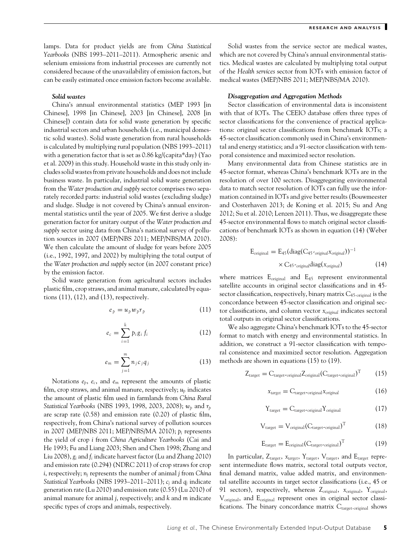lamps. Data for product yields are from *China Statistical Yearbooks* (NBS 1993–2011–2011). Atmospheric arsenic and selenium emissions from industrial processes are currently not considered because of the unavailability of emission factors, but can be easily estimated once emission factors become available.

## *Solid wastes*

China's annual environmental statistics (MEP 1993 [in Chinese], 1998 [in Chinese], 2003 [in Chinese], 2008 [in Chinese]) contain data for solid waste generation by specific industrial sectors and urban households (i.e., municipal domestic solid wastes). Solid waste generation from rural households is calculated by multiplying rural population (NBS 1993–2011) with a generation factor that is set as 0.86 kg/(capita\*day) (Yao et al. 2009) in this study. Household waste in this study only includes solid wastes from private households and does not include business waste. In particular, industrial solid waste generation from the *Water production and supply* sector comprises two separately recorded parts: industrial solid wastes (excluding sludge) and sludge. Sludge is not covered by China's annual environmental statistics until the year of 2005. We first derive a sludge generation factor for unitary output of the *Water production and supply* sector using data from China's national survey of pollution sources in 2007 (MEP/NBS 2011; MEP/NBS/MA 2010). We then calculate the amount of sludge for years before 2005 (i.e., 1992, 1997, and 2002) by multiplying the total output of the *Water production and supply* sector (in 2007 constant price) by the emission factor.

Solid waste generation from agricultural sectors includes plastic film, crop straws, and animal manure, calculated by equations (11), (12), and (13), respectively.

$$
e_p = u_p w_p r_p \tag{11}
$$

$$
e_c = \sum_{i=1}^{k} p_i g_i f_i \qquad (12)
$$

$$
e_m = \sum_{j=1}^m n_j c_j q_j \tag{13}
$$

Notations *ep*, *ec*, and *em* represent the amounts of plastic film, crop straws, and animal manure, respectively; *up* indicates the amount of plastic film used in farmlands from *China Rural Statistical Yearbooks* (NBS 1993, 1998, 2003, 2008); *wp* and *rp* are scrap rate (0.58) and emission rate (0.20) of plastic film, respectively, from China's national survey of pollution sources in 2007 (MEP/NBS 2011; MEP/NBS/MA 2010); *pi* represents the yield of crop *i* from *China Agriculture Yearbooks* (Cai and He 1993; Fu and Liang 2003; Shen and Chen 1998; Zhang and Liu 2008), *gi* and *fi* indicate harvest factor (Lu and Zhang 2010) and emission rate (0.294) (NDRC 2011) of crop straws for crop *i*, respectively; *nj* represents the number of animal *j* from *China Statistical Yearbooks* (NBS 1993–2011–2011); *cj* and *qj* indicate generation rate (Lu 2010) and emission rate (0.55) (Lu 2010) of animal manure for animal *j*, respectively; and *k* and *m* indicate specific types of crops and animals, respectively.

Solid wastes from the service sector are medical wastes, which are not covered by China's annual environmental statistics. Medical wastes are calculated by multiplying total output of the *Health services* sector from IOTs with emission factor of medical wastes (MEP/NBS 2011; MEP/NBS/MA 2010).

#### *Disaggregation and Aggregation Methods*

Sector classification of environmental data is inconsistent with that of IOTs. The CEEIO database offers three types of sector classifications for the convenience of practical applications: original sector classifications from benchmark IOTs; a 45-sector classification commonly used in China's environmental and energy statistics; and a 91-sector classification with temporal consistence and maximized sector resolution.

Many environmental data from Chinese statistics are in 45-sector format, whereas China's benchmark IOTs are in the resolution of over 100 sectors. Disaggregating environmental data to match sector resolution of IOTs can fully use the information contained in IOTs and give better results (Bouwmeester and Oosterhaven 2013; de Koning et al. 2015; Su and Ang 2012; Su et al. 2010; Lenzen 2011). Thus, we disaggregate these 45-sector environmental flows to match original sector classifications of benchmark IOTs as shown in equation (14) (Weber 2008):

$$
E_{original} = E_{45} (diag(C_{45 \text{-original} X_{original}}))^{-1}
$$

$$
\times C_{45 \text{-original}} diag(x_{original})
$$
(14)

where matrices  $E_{original}$  and  $E_{45}$  represent environmental satellite accounts in original sector classifications and in 45 sector classification, respectively, binary matrix  $C_{45\text{-original}}$  is the concordance between 45-sector classification and original sector classifications, and column vector *xoriginal* indicates sectoral total outputs in original sector classifications.

We also aggregate China's benchmark IOTs to the 45-sector format to match with energy and environmental statistics. In addition, we construct a 91-sector classification with temporal consistence and maximized sector resolution. Aggregation methods are shown in equations (15) to (19).

$$
Z_{\text{target}} = C_{\text{target-original}} Z_{\text{original}} (C_{\text{target-original}})^{\text{T}} \qquad (15)
$$

$$
x_{target} = C_{target\text{-original}} x_{original} \tag{16}
$$

$$
Y_{\text{target}} = C_{\text{target-original}} Y_{\text{original}} \tag{17}
$$

$$
V_{\text{target}} = V_{\text{original}} (C_{\text{target-original}})^{T}
$$
 (18)

$$
E_{\text{target}} = E_{\text{original}} (C_{\text{target-original}})^{T}
$$
 (19)

In particular, Z<sub>target</sub>,  $x_{target}$ , Y<sub>target</sub>, V<sub>target</sub>, and E<sub>target</sub> represent intermediate flows matrix, sectoral total outputs vector, final demand matrix, value added matrix, and environmental satellite accounts in target sector classifications (i.e., 45 or 91 sectors), respectively, whereas Zoriginal, *x*original, Yoriginal, V<sub>original</sub>, and E<sub>original</sub> represent ones in original sector classifications. The binary concordance matrix  $C_{\text{target-original}}$  shows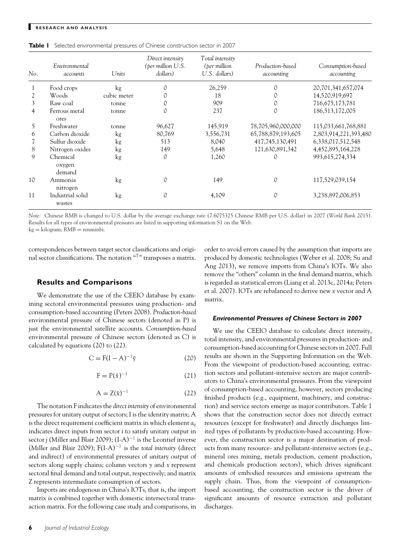| No. | Environmental<br>accounts    | Units       | Direct intensity<br>(per million U.S.<br>dollars) | Total intensity<br>(per million<br>U.S. dollars) | Production-based<br>accounting | Consumption-based<br>accounting |
|-----|------------------------------|-------------|---------------------------------------------------|--------------------------------------------------|--------------------------------|---------------------------------|
|     | Food crops                   | kg          |                                                   | 26,259                                           |                                | 20,701,341,657,074              |
| 2   | Woods                        | cubic meter |                                                   | 18                                               |                                | 14,520,919,697                  |
| 3   | Raw coal                     | tonne       |                                                   | 909                                              |                                | 716,675,173,781                 |
| 4   | Ferrous metal<br>ores        | tonne       | 0                                                 | 237                                              | $\Omega$                       | 186,513,172,005                 |
| 5   | Freshwater                   | tonne       | 96,627                                            | 145,919                                          | 78,705,960,000,000             | 115,033,661,768,881             |
| 6   | Carbon dioxide               | $\log$      | 80,769                                            | 3,556,731                                        | 65,788,879,193,605             | 2,803,914,221,393,480           |
|     | Sulfur dioxide               | kg          | 513                                               | 8,040                                            | 417,745,130,491                | 6,338,017,512,548               |
| 8   | Nitrogen oxides              | $\log$      | 149                                               | 5,648                                            | 121,630,891,342                | 4,452,895,164,228               |
| 9   | Chemical<br>oxygen<br>demand | kg          | $\Omega$                                          | 1,260                                            |                                | 993, 615, 274, 334              |
| 10  | Ammonia<br>nitrogen          | kg          |                                                   | 149                                              | 0                              | 117,529,039,154                 |
| 11  | Industrial solid<br>wastes   | $\log$      |                                                   | 4,109                                            |                                | 3,238,897,006,853               |

*Note:* Chinese RMB is changed to U.S. dollar by the average exchange rate (7.6075325 Chinese RMB per U.S. dollar) in 2007 (*World Bank* 2015). Results for all types of environmental pressures are listed in supporting information S1 on the Web.

 $kg =$  kilogram;  $RMB =$  renminbi.

correspondences between target sector classifications and original sector classifications. The notation "T" transposes a matrix.

## **Results and Comparisons**

We demonstrate the use of the CEEIO database by examining sectoral environmental pressures using production- and consumption-based accounting (Peters 2008). *Production-based* environmental pressure of Chinese sectors (denoted as P) is just the environmental satellite accounts. *Consumption-based* environmental pressure of Chinese sectors (denoted as C) is calculated by equations (20) to (22).

$$
C = F(I - A)^{-1}\hat{y}
$$
 (20)

$$
F = P(\hat{x})^{-1} \tag{21}
$$

$$
A = Z(\hat{x})^{-1} \tag{22}
$$

The notation F indicates the *direct intensity* of environmental pressures for unitary output of sectors; I is the identity matrix; A is the direct requirement coefficient matrix in which element *aij* indicates direct inputs from sector *i* to satisfy unitary output in sector *j* (Miller and Blair 2009); (I-A)<sup>-1</sup> is the Leontief inverse (Miller and Blair 2009); F(I-A)−<sup>1</sup> is the *total intensity* (direct and indirect) of environmental pressures of unitary output of sectors along supply chains; column vectors *y* and *x* represent sectoral final demand and total output, respectively; and matrix Z represents intermediate consumption of sectors.

Imports are endogenous in China's IOTs, that is, the import matrix is combined together with domestic intersectoral transaction matrix. For the following case study and comparisons, in order to avoid errors caused by the assumption that imports are produced by domestic technologies (Weber et al. 2008; Su and Ang 2013), we remove imports from China's IOTs. We also remove the "others" column in the final demand matrix, which is regarded as statistical errors (Liang et al. 2013c, 2014a; Peters et al. 2007). IOTs are rebalanced to derive new *x* vector and A matrix.

### *Environmental Pressures of Chinese Sectors in 2007*

We use the CEEIO database to calculate direct intensity, total intensity, and environmental pressures in production- and consumption-based accounting for Chinese sectors in 2007. Full results are shown in the Supporting Information on the Web. From the viewpoint of production-based accounting, extraction sectors and pollutant-intensive sectors are major contributors to China's environmental pressures. From the viewpoint of consumption-based accounting, however, sectors producing finished products (e.g., equipment, machinery, and construction) and service sectors emerge as major contributors. Table 1 shows that the construction sector does not directly extract resources (except for freshwater) and directly discharges limited types of pollutants by production-based accounting. However, the construction sector is a major destination of products from many resource- and pollutant-intensive sectors (e.g., mineral ores mining, metals production, cement production, and chemicals production sectors), which drives significant amounts of embodied resources and emissions upstream the supply chain. Thus, from the viewpoint of consumptionbased accounting, the construction sector is the driver of significant amounts of resource extraction and pollutant discharges.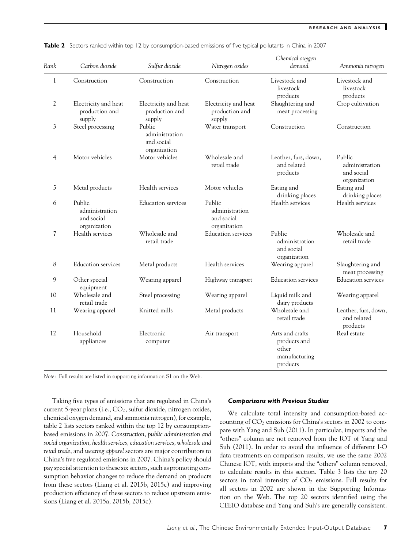| Rank         | Carbon dioxide                                         | Sulfur dioxide                                         | Nitrogen oxides                                        | Chemical oxygen<br>demand                                             | Ammonia nitrogen                                       |
|--------------|--------------------------------------------------------|--------------------------------------------------------|--------------------------------------------------------|-----------------------------------------------------------------------|--------------------------------------------------------|
| $\mathbf{1}$ | Construction                                           | Construction                                           | Construction                                           | Livestock and<br>livestock<br>products                                | Livestock and<br>livestock<br>products                 |
| 2            | Electricity and heat<br>production and<br>supply       | Electricity and heat<br>production and<br>supply       | Electricity and heat<br>production and<br>supply       | Slaughtering and<br>meat processing                                   | Crop cultivation                                       |
| 3            | Steel processing                                       | Public<br>administration<br>and social<br>organization | Water transport                                        | Construction                                                          | Construction                                           |
| 4            | Motor vehicles                                         | Motor vehicles                                         | Wholesale and<br>retail trade                          | Leather, furs, down,<br>and related<br>products                       | Public<br>administration<br>and social<br>organization |
| 5            | Metal products                                         | Health services                                        | Motor vehicles                                         | Eating and<br>drinking places                                         | Eating and<br>drinking places                          |
| 6            | Public<br>administration<br>and social<br>organization | Education services                                     | Public<br>administration<br>and social<br>organization | Health services                                                       | Health services                                        |
| 7            | Health services                                        | Wholesale and<br>retail trade                          | <b>Education</b> services                              | Public<br>administration<br>and social<br>organization                | Wholesale and<br>retail trade                          |
| 8            | <b>Education</b> services                              | Metal products                                         | Health services                                        | Wearing apparel                                                       | Slaughtering and<br>meat processing                    |
| 9            | Other special<br>equipment                             | Wearing apparel                                        | Highway transport                                      | <b>Education</b> services                                             | <b>Education services</b>                              |
| 10           | Wholesale and<br>retail trade                          | Steel processing                                       | Wearing apparel                                        | Liquid milk and<br>dairy products                                     | Wearing apparel                                        |
| 11           | Wearing apparel                                        | Knitted mills                                          | Metal products                                         | Wholesale and<br>retail trade                                         | Leather, furs, down,<br>and related<br>products        |
| 12           | Household<br>appliances                                | Electronic<br>computer                                 | Air transport                                          | Arts and crafts<br>products and<br>other<br>manufacturing<br>products | Real estate                                            |

|  | Table 2 Sectors ranked within top 12 by consumption-based emissions of five typical pollutants in China in 2007 |  |  |  |  |  |  |
|--|-----------------------------------------------------------------------------------------------------------------|--|--|--|--|--|--|
|--|-----------------------------------------------------------------------------------------------------------------|--|--|--|--|--|--|

*Note:* Full results are listed in supporting information S1 on the Web.

Taking five types of emissions that are regulated in China's current 5-year plans (i.e.,  $CO_2$ , sulfur dioxide, nitrogen oxides, chemical oxygen demand, and ammonia nitrogen), for example, table 2 lists sectors ranked within the top 12 by consumptionbased emissions in 2007. *Construction*, *public administration and social organization*, *health services*, *education services*, *wholesale and retail trade*, and *wearing apparel* sectors are major contributors to China's five regulated emissions in 2007. China's policy should pay special attention to these six sectors, such as promoting consumption behavior changes to reduce the demand on products from these sectors (Liang et al. 2015b, 2015c) and improving production efficiency of these sectors to reduce upstream emissions (Liang et al. 2015a, 2015b, 2015c).

#### *Comparisons with Previous Studies*

We calculate total intensity and consumption-based accounting of  $CO<sub>2</sub>$  emissions for China's sectors in 2002 to compare with Yang and Suh (2011). In particular, imports and the "others" column are not removed from the IOT of Yang and Suh (2011). In order to avoid the influence of different I-O data treatments on comparison results, we use the same 2002 Chinese IOT, with imports and the "others" column removed, to calculate results in this section. Table 3 lists the top 20 sectors in total intensity of  $CO<sub>2</sub>$  emissions. Full results for all sectors in 2002 are shown in the Supporting Information on the Web. The top 20 sectors identified using the CEEIO database and Yang and Suh's are generally consistent.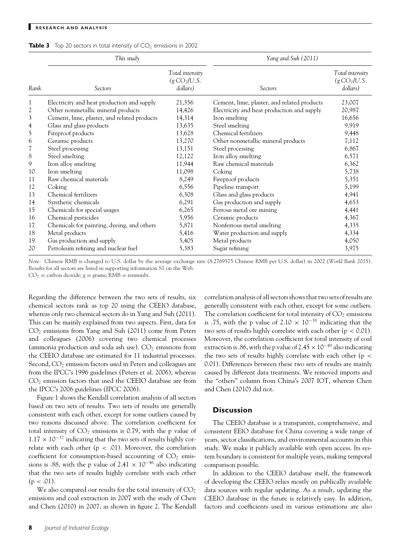|  |  | <b>Table 3</b> Top 20 sectors in total intensity of $CO2$ emissions in 2002 |  |  |  |  |  |  |
|--|--|-----------------------------------------------------------------------------|--|--|--|--|--|--|
|--|--|-----------------------------------------------------------------------------|--|--|--|--|--|--|

|                | This study                                  |                                                         | Yang and Suh (2011)                         |                                                       |  |  |
|----------------|---------------------------------------------|---------------------------------------------------------|---------------------------------------------|-------------------------------------------------------|--|--|
| Rank           | Sectors                                     | Total intensity<br>(g CO <sub>2</sub> /U.S.<br>dollars) | Sectors                                     | Total intensity<br>$(g \text{CO}_2$ /U.S.<br>dollars) |  |  |
| 1              | Electricity and heat production and supply  | 21,356                                                  | Cement, lime, plaster, and related products | 23,007                                                |  |  |
| 2              | Other nonmetallic mineral products          | 14,426                                                  | Electricity and heat production and supply  | 20,987                                                |  |  |
| $\mathfrak{Z}$ | Cement, lime, plaster, and related products | 14,314                                                  | Iron smelting                               | 16,656                                                |  |  |
| 4              | Glass and glass products                    | 13,635                                                  | Steel smelting                              | 9,919                                                 |  |  |
| 5              | Fireproof products                          | 13,628                                                  | Chemical fertilizers                        | 9,448                                                 |  |  |
| 6              | Ceramic products                            | 13,270                                                  | Other nonmetallic mineral products          | 7,112                                                 |  |  |
| 7              | Steel processing                            | 13,151                                                  | Steel processing                            | 6,867                                                 |  |  |
| 8              | Steel smelting                              | 12,122                                                  | Iron alloy smelting                         | 6,571                                                 |  |  |
| 9              | Iron alloy smelting                         | 11,944                                                  | Raw chemical materials                      | 6,362                                                 |  |  |
| 10             | Iron smelting                               | 11,098                                                  | Coking                                      | 5,738                                                 |  |  |
| 11             | Raw chemical materials                      | 8,249                                                   | Fireproof products                          | 5,351                                                 |  |  |
| 12             | Coking                                      | 6,556                                                   | Pipeline transport                          | 5,199                                                 |  |  |
| 13             | Chemical fertilizers                        | 6,308                                                   | Glass and glass products                    | 4,941                                                 |  |  |
| 14             | Synthetic chemicals                         | 6,291                                                   | Gas production and supply                   | 4,653                                                 |  |  |
| 15             | Chemicals for special usages                | 6,265                                                   | Ferrous metal ore mining                    | 4,441                                                 |  |  |
| 16             | Chemical pesticides                         | 5,956                                                   | Ceramic products                            | 4,367                                                 |  |  |
| 17             | Chemicals for painting, dyeing, and others  | 5,871                                                   | Nonferrous metal smelting                   | 4,335                                                 |  |  |
| 18             | Metal products                              | 5,416                                                   | Water production and supply                 | 4,334                                                 |  |  |
| 19             | Gas production and supply                   | 5,405                                                   | Metal products                              | 4,050                                                 |  |  |
| 20             | Petroleum refining and nuclear fuel         | 5,383                                                   | Sugar refining                              | 3,975                                                 |  |  |

*Note:* Chinese RMB is changed to U.S. dollar by the average exchange rate (8.2769575 Chinese RMB per U.S. dollar) in 2002 (*World Bank* 2015). Results for all sectors are listed in supporting information S1 on the Web.

 $CO<sub>2</sub> =$  carbon dioxide;  $g =$  grams;  $RMB =$  renminbi.

Regarding the difference between the two sets of results, six chemical sectors rank as top 20 using the CEEIO database, whereas only two chemical sectors do in Yang and Suh (2011). This can be mainly explained from two aspects. First, data for  $CO<sub>2</sub>$  emissions from Yang and Suh (2011) come from Peters and colleagues (2006) covering two chemical processes (ammonia production and soda ash use).  $CO<sub>2</sub>$  emissions from the CEEIO database are estimated for 11 industrial processes. Second,  $CO<sub>2</sub>$  emission factors used in Peters and colleagues are from the IPCC's 1996 guidelines (Peters et al. 2006), whereas  $CO<sub>2</sub>$  emission factors that used the CEEIO database are from the IPCC's 2006 guidelines (IPCC 2006).

Figure 1 shows the Kendall correlation analysis of all sectors based on two sets of results. Two sets of results are generally consistent with each other, except for some outliers caused by two reasons discussed above. The correlation coefficient for total intensity of  $CO<sub>2</sub>$  emissions is 0.79, with the p value of  $1.17 \times 10^{-37}$  indicating that the two sets of results highly correlate with each other (p *<* .01). Moreover, the correlation coefficient for consumption-based accounting of  $CO<sub>2</sub>$  emissions is .88, with the p value of 2.41  $\times$  10<sup>-46</sup> also indicating that the two sets of results highly correlate with each other  $(p < .01)$ .

We also compared our results for the total intensity of  $CO<sub>2</sub>$ emissions and coal extraction in 2007 with the study of Chen and Chen (2010) in 2007, as shown in figure 2. The Kendall correlation analysis of all sectors shows that two sets of results are generally consistent with each other, except for some outliers. The correlation coefficient for total intensity of  $CO<sub>2</sub>$  emissions is .75, with the p value of 2.10  $\times$  10<sup>-38</sup> indicating that the two sets of results highly correlate with each other (p *<* 0.01). Moreover, the correlation coefficient for total intensity of coal extraction is .86, with the p value of 2.45  $\times$  10<sup>-49</sup> also indicating the two sets of results highly correlate with each other (p *<* 0.01). Differences between these two sets of results are mainly caused by different data treatments. We removed imports and the "others" column from China's 2007 IOT, whereas Chen and Chen (2010) did not.

# **Discussion**

The CEEIO database is a transparent, comprehensive, and consistent EEIO database for China covering a wide range of years, sector classifications, and environmental accounts in this study. We make it publicly available with open access. Its system boundary is consistent for multiple years, making temporal comparison possible.

In addition to the CEEIO database itself, the framework of developing the CEEIO relies mostly on publically available data sources with regular updating. As a result, updating the CEEIO database in the future is relatively easy. In addition, factors and coefficients used in various estimations are also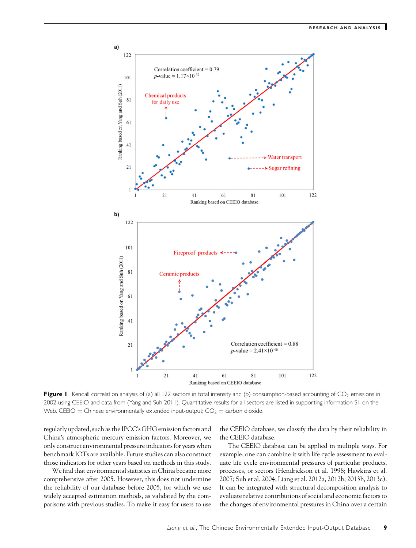

**Figure 1** Kendall correlation analysis of (a) all 122 sectors in total intensity and (b) consumption-based accounting of  $CO<sub>2</sub>$  emissions in 2002 using CEEIO and data from (Yang and Suh 2011). Quantitative results for all sectors are listed in supporting information S1 on the Web. CEEIO = Chinese environmentally extended input-output;  $CO_2$  = carbon dioxide.

regularly updated, such as the IPCC's GHG emission factors and China's atmospheric mercury emission factors. Moreover, we only construct environmental pressure indicators for years when benchmark IOTs are available. Future studies can also construct those indicators for other years based on methods in this study.

We find that environmental statistics in China became more comprehensive after 2005. However, this does not undermine the reliability of our database before 2005, for which we use widely accepted estimation methods, as validated by the comparisons with previous studies. To make it easy for users to use

the CEEIO database, we classify the data by their reliability in the CEEIO database.

The CEEIO database can be applied in multiple ways. For example, one can combine it with life cycle assessment to evaluate life cycle environmental pressures of particular products, processes, or sectors (Hendrickson et al. 1998; Hawkins et al. 2007; Suh et al. 2004; Liang et al. 2012a, 2012b, 2013b, 2013c). It can be integrated with structural decomposition analysis to evaluate relative contributions of social and economic factors to the changes of environmental pressures in China over a certain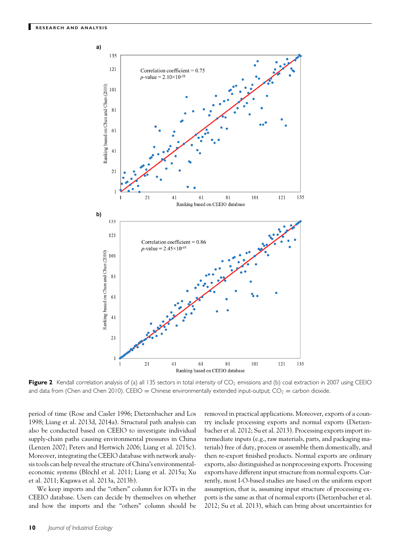

Figure 2 Kendall correlation analysis of (a) all 135 sectors in total intensity of CO<sub>2</sub> emissions and (b) coal extraction in 2007 using CEEIO and data from (Chen and Chen 2010). CEEIO = Chinese environmentally extended input-output; CO<sub>2</sub> = carbon dioxide.

period of time (Rose and Casler 1996; Dietzenbacher and Los 1998; Liang et al. 2013d, 2014a). Structural path analysis can also be conducted based on CEEIO to investigate individual supply-chain paths causing environmental pressures in China (Lenzen 2007; Peters and Hertwich 2006; Liang et al. 2015c). Moreover, integrating the CEEIO database with network analysis tools can help reveal the structure of China's environmentaleconomic systems (Blöchl et al. 2011; Liang et al. 2015a; Xu et al. 2011; Kagawa et al. 2013a, 2013b).

We keep imports and the "others" column for IOTs in the CEEIO database. Users can decide by themselves on whether and how the imports and the "others" column should be removed in practical applications. Moreover, exports of a country include processing exports and normal exports (Dietzenbacher et al. 2012; Su et al. 2013). Processing exports import intermediate inputs (e.g., raw materials, parts, and packaging materials) free of duty, process or assemble them domestically, and then re-export finished products. Normal exports are ordinary exports, also distinguished as nonprocessing exports. Processing exports have different input structure from normal exports. Currently, most I-O-based studies are based on the uniform export assumption, that is, assuming input structure of processing exports is the same as that of normal exports (Dietzenbacher et al. 2012; Su et al. 2013), which can bring about uncertainties for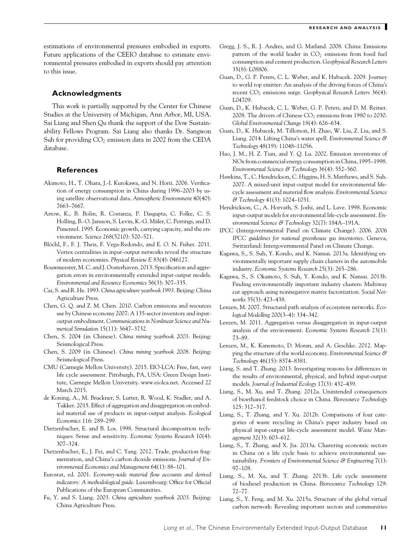estimations of environmental pressures embodied in exports. Future applications of the CEEIO database to estimate environmental pressures embodied in exports should pay attention to this issue.

# **Acknowledgments**

This work is partially supported by the Center for Chinese Studies at the University of Michigan, Ann Arbor, MI, USA. Sai Liang and Shen Qu thank the support of the Dow Sustainability Fellows Program. Sai Liang also thanks Dr. Sangwon Suh for providing  $CO<sub>2</sub>$  emission data in 2002 from the CEDA database.

# **References**

- Akimoto, H., T. Ohara, J.-I. Kurokawa, and N. Horii. 2006. Verification of energy consumption in China during 1996–2003 by using satellite observational data. *Atmospheric Environment* 40(40): 7663–7667.
- Arrow, K., B. Bolin, R. Costanza, P. Dasgupta, C. Folke, C. S. Holling, B.-O. Jansson, S. Levin, K.-G. Mäler, C. Perrings, and D. Pimentel. 1995. Economic growth, carrying capacity, and the environment. *Science* 268(5210): 520–521.
- Blöchl, F., F. J. Theis, F. Vega-Redondo, and E. O. N. Fisher. 2011. Vertex centralities in input-output networks reveal the structure of modern economies. *Physical Review E* 83(4): 046127.
- Bouwmeester, M. C. and J. Oosterhaven. 2013. Specification and aggregation errors in environmentally extended input-output models. *Environmental and Resource Economics* 56(3): 307–335.
- Cai, S. and R. He. 1993. *China agriculture yearbook 1993*. Beijing: China Agriculture Press.
- Chen, G. Q. and Z. M. Chen. 2010. Carbon emissions and resources use by Chinese economy 2007: A 135-sector inventory and inputoutput embodiment. *Communications in Nonlinear Science and Numerical Simulation* 15(11): 3647–3732.
- Chen, S. 2004 (in Chinese). *China mining yearbook 2003*. Beijing: Seismological Press.
- Chen, S. 2009 (in Chinese). *China mining yearbook 2008*. Beijing: Seismological Press.
- CMU (Carnegie Mellon University). 2015. EIO-LCA: Free, fast, easy life cycle assessment. Pittsburgh, PA, USA: Green Design Institute, Carnegie Mellon University. www.eiolca.net. Accessed 22 March 2015.
- de Koning, A., M. Bruckner, S. Lutter, R. Wood, K. Stadler, and A. Tukker. 2015. Effect of aggregation and disaggregation on embodied material use of products in input-output analysis. *Ecological Economics* 116: 289–299.
- Dietzenbacher, E. and B. Los. 1998. Structural decomposition techniques: Sense and sensitivity. *Economic Systems Research* 10(4): 307–324.
- Dietzenbacher, E., J. Pei, and C. Yang. 2012. Trade, production fragmentation, and China's carbon dioxide emissions. *Journal of Environmental Economics and Management* 64(1): 88–101.
- Eurostat, ed. 2001. *Economy-wide material flow accounts and derived indicators: A methodological guide*. Luxembourg: Office for Official Publications of the European Communities.
- Fu, Y. and S. Liang. 2003. *China agriculture yearbook 2003*. Beijing: China Agriculture Press.
- Gregg, J. S., R. J. Andres, and G. Marland. 2008. China: Emissions pattern of the world leader in  $CO<sub>2</sub>$  emissions from fossil fuel consumption and cement production. *Geophysical Research Letters* 35(8): L08806.
- Guan, D., G. P. Peters, C. L. Weber, and K. Hubacek. 2009. Journey to world top emitter: An analysis of the driving forces of China's recent CO2 emissions surge. *Geophysical Research Letters* 36(4): L04709.
- Guan, D., K. Hubacek, C. L. Weber, G. P. Peters, and D. M. Reiner. 2008. The drivers of Chinese  $CO<sub>2</sub>$  emissions from 1980 to 2030. *Global Environmental Change* 18(4): 626–634.
- Guan, D., K. Hubacek, M. Tillotson, H. Zhao, W. Liu, Z. Liu, and S. Liang. 2014. Lifting China's water spell. *Environmental Science & Technology* 48(19): 11048–11056.
- Hao, J. M., H. Z. Tian, and Y. Q. Lu. 2002. Emission inventories of NOx from commercial energy consumption in China, 1995–1998. *Environmental Science & Technology* 36(4): 552–560.
- Hawkins, T., C. Hendrickson, C. Higgins, H. S. Matthews, and S. Suh. 2007. A mixed-unit input-output model for environmental lifecycle assessment and material flow analysis. *Environmental Science & Technology* 41(3): 1024–1031.
- Hendrickson, C., A. Horvath, S. Joshi, and L. Lave. 1998. Economic input-output models for environmental life-cycle assessment. *Environmental Science & Technology* 32(7): 184A–191A.
- IPCC (Intergovernmental Panel on Climate Change). 2006. *2006 IPCC guidelines for national greenhouse gas inventories*. Geneva, Switzerland: Intergovernmental Panel on Climate Change.
- Kagawa, S., S. Suh, Y. Kondo, and K. Nansai. 2013a. Identifying environmentally important supply chain clusters in the automobile industry. *Economic Systems Research* 25(3): 265–286.
- Kagawa, S., S. Okamoto, S. Suh, Y. Kondo, and K. Nansai. 2013b. Finding environmentally important industry clusters: Multiway cut approach using nonnegative matrix factorization. *Social Networks* 35(3): 423–438.
- Lenzen, M. 2007. Structural path analysis of ecosystem networks. *Ecological Modelling* 200(3–4): 334–342.
- Lenzen, M. 2011. Aggregation versus disaggregation in input-output analysis of the environment. *Economic Systems Research* 23(1): 73–89.
- Lenzen, M., K. Kanemoto, D. Moran, and A. Geschke. 2012. Mapping the structure of the world economy. *Environmental Science & Technology* 46(15): 8374–8381.
- Liang, S. and T. Zhang. 2013. Investigating reasons for differences in the results of environmental, physical, and hybrid input-output models. *Journal of Industrial Ecology* 17(3): 432–439.
- Liang, S., M. Xu, and T. Zhang. 2012a. Unintended consequences of bioethanol feedstock choice in China. *Bioresource Technology* 125: 312–317.
- Liang, S., T. Zhang, and Y. Xu. 2012b. Comparisons of four categories of waste recycling in China's paper industry based on physical input-output life-cycle assessment model. *Waste Management* 32(3): 603–612.
- Liang, S., T. Zhang, and X. Jia. 2013a. Clustering economic sectors in China on a life cycle basis to achieve environmental sustainability. *Frontiers of Environmental Science & Engineering* 7(1): 97–108.
- Liang, S., M. Xu, and T. Zhang. 2013b. Life cycle assessment of biodiesel production in China. *Bioresource Technology* 129: 72–77.
- Liang, S., Y. Feng, and M. Xu. 2015a. Structure of the global virtual carbon network: Revealing important sectors and communities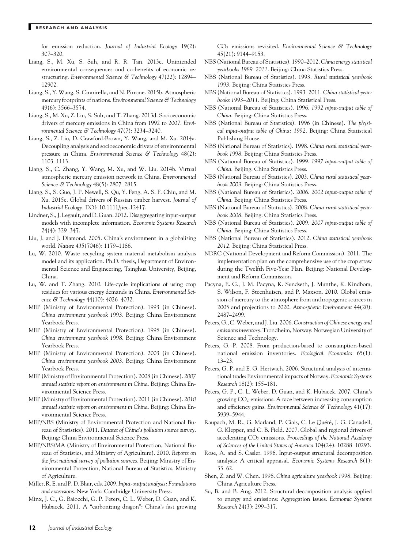for emission reduction. *Journal of Industrial Ecology* 19(2): 307–320.

- Liang, S., M. Xu, S. Suh, and R. R. Tan. 2013c. Unintended environmental consequences and co-benefits of economic restructuring. *Environmental Science & Technology* 47(22): 12894– 12902.
- Liang, S., Y. Wang, S. Cinnirella, and N. Pirrone. 2015b. Atmospheric mercury footprints of nations. *Environmental Science & Technology* 49(6): 3566–3574.
- Liang, S., M. Xu, Z. Liu, S. Suh, and T. Zhang. 2013d. Socioeconomic drivers of mercury emissions in China from 1992 to 2007. *Environmental Science & Technology* 47(7): 3234–3240.
- Liang, S., Z. Liu, D. Crawford-Brown, Y. Wang, and M. Xu. 2014a. Decoupling analysis and socioeconomic drivers of environmental pressure in China. *Environmental Science & Technology* 48(2): 1103–1113.
- Liang, S., C. Zhang, Y. Wang, M. Xu, and W. Liu. 2014b. Virtual atmospheric mercury emission network in China. *Environmental Science & Technology* 48(5): 2807–2815.
- Liang, S., S. Guo, J. P. Newell, S. Qu, Y. Feng, A. S. F. Chiu, and M. Xu. 2015c. Global drivers of Russian timber harvest. *Journal of Industrial Ecology.* DOI: 10.1111/jiec.12417.
- Lindner, S., J. Legault, and D. Guan. 2012. Disaggregating input-output models with incomplete information. *Economic Systems Research* 24(4): 329–347.
- Liu, J. and J. Diamond. 2005. China's environment in a globalizing world. *Nature* 435(7046): 1179–1186.
- Lu, W. 2010. Waste recycling system material metabolism analysis model and its application. Ph.D. thesis, Department of Environmental Science and Engineering, Tsinghua University, Beijing, China.
- Lu, W. and T. Zhang. 2010. Life-cycle implications of using crop residues for various energy demands in China. *Environmental Science & Technology* 44(10): 4026–4032.
- MEP (Ministry of Environmental Protection). 1993 (in Chinese). *China environment yearbook 1993*. Beijing: China Environment Yearbook Press.
- MEP (Ministry of Environmental Protection). 1998 (in Chinese). *China environment yearbook 1998*. Beijing: China Environment Yearbook Press.
- MEP (Ministry of Environmental Protection). 2003 (in Chinese). *China environment yearbook 2003*. Beijing: China Environment Yearbook Press.
- MEP (Ministry of Environmental Protection). 2008 (in Chinese). *2007 annual statistic report on environment in China*. Beijing: China Environmental Science Press.
- MEP (Ministry of Environmental Protection). 2011 (in Chinese). *2010 annual statistic report on environment in China*. Beijing: China Environmental Science Press.
- MEP/NBS (Ministry of Environmental Protection and National Bureau of Statistics). 2011. *Dataset of China's pollution source survey*. Beijing: China Environmental Science Press.
- MEP/NBS/MA (Ministry of Environmental Protection, National Bureau of Statistics, and Ministry of Agriculture). 2010. *Reports on the first national survey of pollution sources*. Beijing: Ministry of Environmental Protection, National Bureau of Statistics, Ministry of Agriculture.
- Miller, R. E. and P. D. Blair, eds. 2009.*Input-output analysis: Foundations and extensions*. New York: Cambridge University Press.
- Minx, J. C., G. Baiocchi, G. P. Peters, C. L. Weber, D. Guan, and K. Hubacek. 2011. A "carbonizing dragon": China's fast growing

CO2 emissions revisited. *Environmental Science & Technology* 45(21): 9144–9153.

- NBS (National Bureau of Statistics). 1990–2012. *China energy statistical yearbooks 1989–2011*. Beijing: China Statistics Press.
- NBS (National Bureau of Statistics). 1993. *Rural statistical yearbook 1993*. Beijing: China Statistics Press.
- NBS (National Bureau of Statistics). 1993–2011. *China statistical yearbooks 1993–2011*. Beijing: China Statistical Press.
- NBS (National Bureau of Statistics). 1996. *1992 input-output table of China*. Beijing: China Statistics Press.
- NBS (National Bureau of Statistics). 1996 (in Chinese). *The physical input-output table of China: 1992*. Beijing: China Statistical Publishing House.
- NBS (National Bureau of Statistics). 1998. *China rural statistical yearbook 1998*. Beijing: China Statistics Press.
- NBS (National Bureau of Statistics). 1999. *1997 input-output table of China*. Beijing: China Statistics Press.
- NBS (National Bureau of Statistics). 2003. *China rural statistical yearbook 2003*. Beijing: China Statistics Press.
- NBS (National Bureau of Statistics). 2006. *2002 input-output table of China*. Beijing: China Statistics Press.
- NBS (National Bureau of Statistics). 2008. *China rural statistical yearbook 2008*. Beijing: China Statistics Press.
- NBS (National Bureau of Statistics). 2009. *2007 input-output table of China*. Beijing: China Statistics Press.
- NBS (National Bureau of Statistics). 2012. *China statistical yearbook 2012*. Beijing: China Statistical Press.
- NDRC (National Development and Reform Commission). 2011. The implementation plan on the comprehensive use of the crop straw during the Twelfth Five-Year Plan. Beijing: National Development and Reform Commission.
- Pacyna, E. G., J. M. Pacyna, K. Sundseth, J. Munthe, K. Kindbom, S. Wilson, F. Steenhuisen, and P. Maxson. 2010. Global emission of mercury to the atmosphere from anthropogenic sources in 2005 and projections to 2020. *Atmospheric Environment* 44(20): 2487–2499.
- Peters, G., C.Weber, and J. Liu. 2006. *Construction of Chinese energy and emissions inventory*. Trondheim, Norway: Norwegian University of Science and Technology.
- Peters, G. P. 2008. From production-based to consumption-based national emission inventories. *Ecological Economics* 65(1): 13–23.
- Peters, G. P. and E. G. Hertwich. 2006. Structural analysis of international trade: Environmental impacts of Norway. *Economic Systems Research* 18(2): 155–181.
- Peters, G. P., C. L. Weber, D. Guan, and K. Hubacek. 2007. China's growing  $CO<sub>2</sub>$  emissions: A race between increasing consumption and efficiency gains. *Environmental Science & Technology* 41(17): 5939–5944.
- Raupach, M. R., G. Marland, P. Ciais, C. Le Quéré, J. G. Canadell, G. Klepper, and C. B. Field. 2007. Global and regional drivers of accelerating CO2 emissions. *Proceedings of the National Academy of Sciences of the United States of America* 104(24): 10288–10293.
- Rose, A. and S. Casler. 1996. Input-output structural decomposition analysis: A critical appraisal. *Economic Systems Research* 8(1): 33–62.
- Shen, Z. and W. Chen. 1998. *China agriculture yearbook 1998*. Beijing: China Agriculture Press.
- Su, B. and B. Ang. 2012. Structural decomposition analysis applied to energy and emissions: Aggregation issues. *Economic Systems Research* 24(3): 299–317.